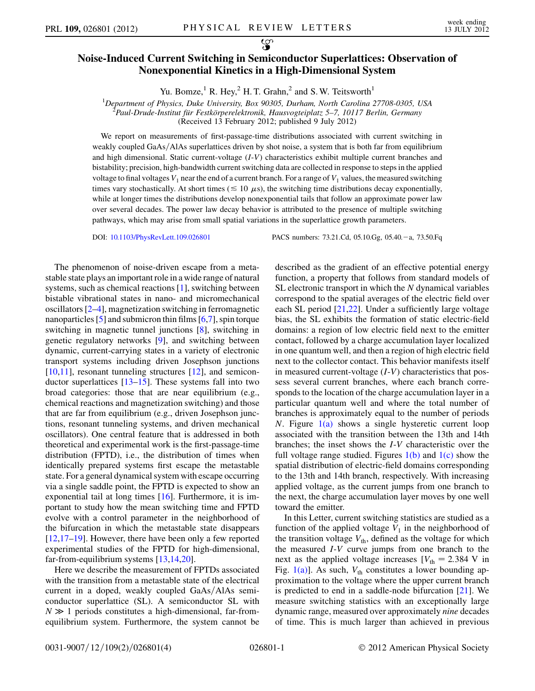## Noise-Induced Current Switching in Semiconductor Superlattices: Observation of Nonexponential Kinetics in a High-Dimensional System

Yu. Bomze,<sup>1</sup> R. Hey,<sup>2</sup> H. T. Grahn,<sup>2</sup> and S. W. Teitsworth<sup>1</sup>

<sup>1</sup>Department of Physics, Duke University, Box 90305, Durham, North Carolina 27708-0305, USA<br><sup>2</sup>Paul Drude Institut für Eestkörperelektronik Hausvosteinlatz 5, 7, 10117 Berlin Germany

<sup>2</sup>Paul-Drude-Institut für Festkörperelektronik, Hausvogteiplatz 5–7, 10117 Berlin, Germany

(Received 13 February 2012; published 9 July 2012)

We report on measurements of first-passage-time distributions associated with current switching in weakly coupled GaAs/AlAs superlattices driven by shot noise, a system that is both far from equilibrium and high dimensional. Static current-voltage (I-V) characteristics exhibit multiple current branches and bistability; precision, high-bandwidth current switching data are collected in response to steps in the applied voltage to final voltages  $V_1$  near the end of a current branch. For a range of  $V_1$  values, the measured switching times vary stochastically. At short times ( $\leq 10 \mu s$ ), the switching time distributions decay exponentially, while at longer times the distributions develop nonexponential tails that follow an approximate power law over several decades. The power law decay behavior is attributed to the presence of multiple switching pathways, which may arise from small spatial variations in the superlattice growth parameters.

DOI: [10.1103/PhysRevLett.109.026801](http://dx.doi.org/10.1103/PhysRevLett.109.026801) PACS numbers: 73.21.Cd, 05.10.Gg, 05.40.-a, 73.50.Fq

The phenomenon of noise-driven escape from a metastable state plays an important role in a wide range of natural systems, such as chemical reactions [[1\]](#page-3-0), switching between bistable vibrational states in nano- and micromechanical oscillators [\[2–](#page-3-1)[4](#page-3-2)], magnetization switching in ferromagnetic nanoparticles  $\lceil 5 \rceil$  and submicron thin films  $\lceil 6, 7 \rceil$  $\lceil 6, 7 \rceil$  $\lceil 6, 7 \rceil$ , spin torque switching in magnetic tunnel junctions [\[8\]](#page-3-6), switching in genetic regulatory networks [\[9](#page-3-7)], and switching between dynamic, current-carrying states in a variety of electronic transport systems including driven Josephson junctions [\[10](#page-3-8)[,11\]](#page-3-9), resonant tunneling structures [\[12\]](#page-3-10), and semiconductor superlattices [\[13–](#page-3-11)[15](#page-3-12)]. These systems fall into two broad categories: those that are near equilibrium (e.g., chemical reactions and magnetization switching) and those that are far from equilibrium (e.g., driven Josephson junctions, resonant tunneling systems, and driven mechanical oscillators). One central feature that is addressed in both theoretical and experimental work is the first-passage-time distribution (FPTD), i.e., the distribution of times when identically prepared systems first escape the metastable state. For a general dynamical system with escape occurring via a single saddle point, the FPTD is expected to show an exponential tail at long times [\[16\]](#page-3-13). Furthermore, it is important to study how the mean switching time and FPTD evolve with a control parameter in the neighborhood of the bifurcation in which the metastable state disappears [\[12](#page-3-10)[,17](#page-3-14)[–19\]](#page-3-15). However, there have been only a few reported experimental studies of the FPTD for high-dimensional, far-from-equilibrium systems [[13](#page-3-11),[14](#page-3-16),[20](#page-3-17)].

Here we describe the measurement of FPTDs associated with the transition from a metastable state of the electrical current in a doped, weakly coupled GaAs/AlAs semiconductor superlattice (SL). A semiconductor SL with  $N \gg 1$  periods constitutes a high-dimensional, far-fromequilibrium system. Furthermore, the system cannot be described as the gradient of an effective potential energy function, a property that follows from standard models of SL electronic transport in which the N dynamical variables correspond to the spatial averages of the electric field over each SL period [[21](#page-3-18),[22](#page-3-19)]. Under a sufficiently large voltage bias, the SL exhibits the formation of static electric-field domains: a region of low electric field next to the emitter contact, followed by a charge accumulation layer localized in one quantum well, and then a region of high electric field next to the collector contact. This behavior manifests itself in measured current-voltage  $(I-V)$  characteristics that possess several current branches, where each branch corresponds to the location of the charge accumulation layer in a particular quantum well and where the total number of branches is approximately equal to the number of periods N. Figure  $1(a)$  shows a single hysteretic current loop associated with the transition between the 13th and 14th branches; the inset shows the I-V characteristic over the full voltage range studied. Figures  $1(b)$  and  $1(c)$  show the spatial distribution of electric-field domains corresponding to the 13th and 14th branch, respectively. With increasing applied voltage, as the current jumps from one branch to the next, the charge accumulation layer moves by one well toward the emitter.

In this Letter, current switching statistics are studied as a function of the applied voltage  $V_1$  in the neighborhood of the transition voltage  $V_{th}$ , defined as the voltage for which the measured I-V curve jumps from one branch to the next as the applied voltage increases  $[V_{\text{th}} = 2.384 \text{ V}$  in Fig.  $1(a)$ ]. As such,  $V_{th}$  constitutes a lower bounding approximation to the voltage where the upper current branch is predicted to end in a saddle-node bifurcation [\[21\]](#page-3-18). We measure switching statistics with an exceptionally large dynamic range, measured over approximately nine decades of time. This is much larger than achieved in previous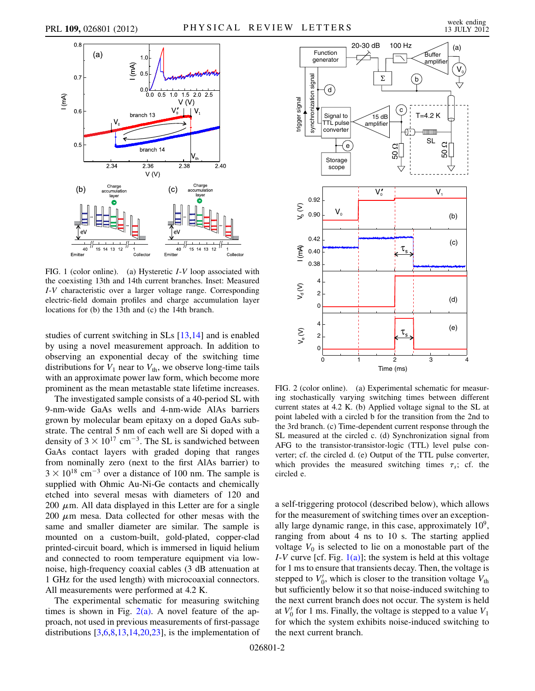

<span id="page-1-0"></span>FIG. 1 (color online). (a) Hysteretic *I-V* loop associated with the coexisting 13th and 14th current branches. Inset: Measured I-V characteristic over a larger voltage range. Corresponding electric-field domain profiles and charge accumulation layer locations for (b) the 13th and (c) the 14th branch.

studies of current switching in SLs [\[13,](#page-3-11)[14\]](#page-3-16) and is enabled by using a novel measurement approach. In addition to observing an exponential decay of the switching time distributions for  $V_1$  near to  $V_{th}$ , we observe long-time tails with an approximate power law form, which become more prominent as the mean metastable state lifetime increases.

The investigated sample consists of a 40-period SL with 9-nm-wide GaAs wells and 4-nm-wide AlAs barriers grown by molecular beam epitaxy on a doped GaAs substrate. The central 5 nm of each well are Si doped with a density of  $3 \times 10^{17}$  cm<sup>-3</sup>. The SL is sandwiched between GaAs contact layers with graded doping that ranges from nominally zero (next to the first AlAs barrier) to  $3 \times 10^{18}$  cm<sup>-3</sup> over a distance of 100 nm. The sample is supplied with Ohmic Au-Ni-Ge contacts and chemically etched into several mesas with diameters of 120 and 200  $\mu$ m. All data displayed in this Letter are for a single  $200 \mu m$  mesa. Data collected for other mesas with the same and smaller diameter are similar. The sample is mounted on a custom-built, gold-plated, copper-clad printed-circuit board, which is immersed in liquid helium and connected to room temperature equipment via lownoise, high-frequency coaxial cables (3 dB attenuation at 1 GHz for the used length) with microcoaxial connectors. All measurements were performed at 4.2 K.

The experimental schematic for measuring switching times is shown in Fig.  $2(a)$ . A novel feature of the approach, not used in previous measurements of first-passage distributions  $[3,6,8,13,14,20,23]$  $[3,6,8,13,14,20,23]$  $[3,6,8,13,14,20,23]$  $[3,6,8,13,14,20,23]$  $[3,6,8,13,14,20,23]$  $[3,6,8,13,14,20,23]$  $[3,6,8,13,14,20,23]$  $[3,6,8,13,14,20,23]$  $[3,6,8,13,14,20,23]$ , is the implementation of



<span id="page-1-1"></span>FIG. 2 (color online). (a) Experimental schematic for measuring stochastically varying switching times between different current states at 4.2 K. (b) Applied voltage signal to the SL at point labeled with a circled b for the transition from the 2nd to the 3rd branch. (c) Time-dependent current response through the SL measured at the circled c. (d) Synchronization signal from AFG to the transistor-transistor-logic (TTL) level pulse converter; cf. the circled d. (e) Output of the TTL pulse converter, which provides the measured switching times  $\tau_s$ ; cf. the circled e.

a self-triggering protocol (described below), which allows for the measurement of switching times over an exceptionally large dynamic range, in this case, approximately  $10<sup>9</sup>$ , ranging from about 4 ns to 10 s. The starting applied voltage  $V_0$  is selected to lie on a monostable part of the I-V curve [cf. Fig.  $1(a)$ ]; the system is held at this voltage for 1 ms to ensure that transients decay. Then, the voltage is stepped to  $V_0'$ , which is closer to the transition voltage  $V_{th}$ but sufficiently below it so that noise-induced switching to the next current branch does not occur. The system is held at  $V_0'$  for 1 ms. Finally, the voltage is stepped to a value  $V_1$ for which the system exhibits noise-induced switching to the next current branch.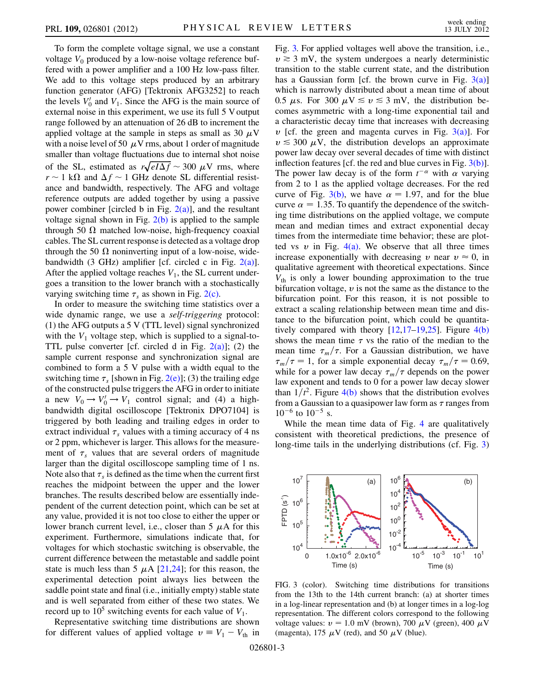To form the complete voltage signal, we use a constant voltage  $V_0$  produced by a low-noise voltage reference buffered with a power amplifier and a 100 Hz low-pass filter. We add to this voltage steps produced by an arbitrary function generator (AFG) [Tektronix AFG3252] to reach the levels  $V_0'$  and  $V_1$ . Since the AFG is the main source of external noise in this experiment, we use its full 5 V output range followed by an attenuation of 26 dB to increment the applied voltage at the sample in steps as small as 30  $\mu$ V with a noise level of 50  $\mu$ V rms, about 1 order of magnitude smaller than voltage fluctuations due to internal shot noise smaller than voltage fluctuations due to internal shot hoise<br>of the SL, estimated as  $r\sqrt{eI\Delta f} \sim 300 \mu$ V rms, where  $r \sim 1$  k $\Omega$  and  $\Delta f \sim 1$  GHz denote SL differential resistance and bandwidth, respectively. The AFG and voltage reference outputs are added together by using a passive power combiner [circled b in Fig.  $2(a)$ ], and the resultant voltage signal shown in Fig.  $2(b)$  is applied to the sample through 50  $\Omega$  matched low-noise, high-frequency coaxial cables. The SL current response is detected as a voltage drop through the 50  $\Omega$  noninverting input of a low-noise, widebandwidth (3 GHz) amplifier [cf. circled c in Fig.  $2(a)$ ]. After the applied voltage reaches  $V_1$ , the SL current undergoes a transition to the lower branch with a stochastically varying switching time  $\tau_s$  as shown in Fig. [2\(c\)](#page-1-1).

In order to measure the switching time statistics over a wide dynamic range, we use a *self-triggering* protocol: (1) the AFG outputs a 5 V (TTL level) signal synchronized with the  $V_1$  voltage step, which is supplied to a signal-to-TTL pulse converter [cf. circled d in Fig.  $2(a)$ ]; (2) the sample current response and synchronization signal are combined to form a 5 V pulse with a width equal to the switching time  $\tau_s$  [shown in Fig. [2\(e\)](#page-1-1)]; (3) the trailing edge of the constructed pulse triggers the AFG in order to initiate a new  $V_0 \rightarrow V_0' \rightarrow V_1$  control signal; and (4) a highbandwidth digital oscilloscope [Tektronix DPO7104] is triggered by both leading and trailing edges in order to extract individual  $\tau_s$  values with a timing accuracy of 4 ns or 2 ppm, whichever is larger. This allows for the measurement of  $\tau_s$  values that are several orders of magnitude larger than the digital oscilloscope sampling time of 1 ns. Note also that  $\tau_s$  is defined as the time when the current first reaches the midpoint between the upper and the lower branches. The results described below are essentially independent of the current detection point, which can be set at any value, provided it is not too close to either the upper or lower branch current level, i.e., closer than  $5 \mu A$  for this experiment. Furthermore, simulations indicate that, for voltages for which stochastic switching is observable, the current difference between the metastable and saddle point state is much less than 5  $\mu$ A [\[21](#page-3-18)[,24\]](#page-3-22); for this reason, the experimental detection point always lies between the saddle point state and final (i.e., initially empty) stable state and is well separated from either of these two states. We record up to  $10^5$  switching events for each value of  $V_1$ .

Representative switching time distributions are shown for different values of applied voltage  $v = V_1 - V_{th}$  in Fig. [3.](#page-2-0) For applied voltages well above the transition, i.e.,  $v \ge 3$  mV, the system undergoes a nearly deterministic transition to the stable current state, and the distribution has a Gaussian form [cf. the brown curve in Fig.  $3(a)$ ] which is narrowly distributed about a mean time of about 0.5  $\mu$ s. For 300  $\mu$ V  $\le v \le 3$  mV, the distribution becomes asymmetric with a long-time exponential tail and a characteristic decay time that increases with decreasing  $v$  [cf. the green and magenta curves in Fig. [3\(a\)\]](#page-2-1). For  $v \leq 300 \mu V$ , the distribution develops an approximate power law decay over several decades of time with distinct inflection features [cf. the red and blue curves in Fig.  $3(b)$ ]. The power law decay is of the form  $t^{-\alpha}$  with  $\alpha$  varying from 2 to 1 as the applied voltage decreases. For the red curve of Fig. [3\(b\)](#page-2-1), we have  $\alpha = 1.97$ , and for the blue curve  $\alpha = 1.35$ . To quantify the dependence of the switching time distributions on the applied voltage, we compute mean and median times and extract exponential decay times from the intermediate time behavior; these are plotted vs  $v$  in Fig. [4\(a\)](#page-3-23). We observe that all three times increase exponentially with decreasing v near  $v \approx 0$ , in qualitative agreement with theoretical expectations. Since  $V_{\text{th}}$  is only a lower bounding approximation to the true bifurcation voltage,  $v$  is not the same as the distance to the bifurcation point. For this reason, it is not possible to extract a scaling relationship between mean time and distance to the bifurcation point, which could be quantitatively compared with theory  $[12,17-19,25]$  $[12,17-19,25]$  $[12,17-19,25]$  $[12,17-19,25]$  $[12,17-19,25]$  $[12,17-19,25]$ . Figure  $4(b)$ shows the mean time  $\tau$  vs the ratio of the median to the mean time  $\tau_m/\tau$ . For a Gaussian distribution, we have  $\tau_m/\tau = 1$ , for a simple exponential decay  $\tau_m/\tau = 0.69$ , while for a power law decay  $\tau_m/\tau$  depends on the power law exponent and tends to 0 for a power law decay slower than  $1/t^2$ . Figure [4\(b\)](#page-3-23) shows that the distribution evolves from a Gaussian to a quasipower law form as  $\tau$  ranges from  $10^{-6}$  to  $10^{-5}$  s.

While the mean time data of Fig. [4](#page-3-25) are qualitatively consistent with theoretical predictions, the presence of long-time tails in the underlying distributions (cf. Fig. [3\)](#page-2-0)

<span id="page-2-0"></span>

<span id="page-2-1"></span>FIG. 3 (color). Switching time distributions for transitions from the 13th to the 14th current branch: (a) at shorter times in a log-linear representation and (b) at longer times in a log-log representation. The different colors correspond to the following voltage values:  $v = 1.0$  mV (brown), 700  $\mu$ V (green), 400  $\mu$ V (magenta), 175  $\mu$ V (red), and 50  $\mu$ V (blue).